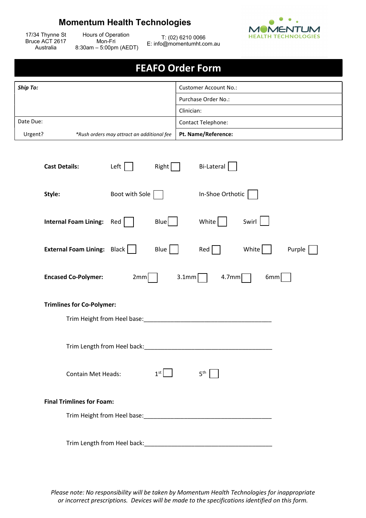## Momentum Health Technologies



17/34 Thynne St Bruce ACT 2617 Australia

Hours of Operation Mon-Fri 8:30am – 5:00pm (AEDT)

T: (02) 6210 0066 E: info@momentumht.com.au

## FEAFO Order Form

| <b>Ship To:</b> |                                            | Customer Account No.:     |  |
|-----------------|--------------------------------------------|---------------------------|--|
|                 |                                            | Purchase Order No.:       |  |
|                 |                                            | Clinician:                |  |
| Date Due:       |                                            | <b>Contact Telephone:</b> |  |
| Urgent?         | *Rush orders may attract an additional fee | Pt. Name/Reference:       |  |

| <b>Cast Details:</b>                   | Left           | Right           | <b>Bi-Lateral</b> |       |        |  |  |
|----------------------------------------|----------------|-----------------|-------------------|-------|--------|--|--|
| Style:                                 | Boot with Sole |                 | In-Shoe Orthotic  |       |        |  |  |
| <b>Internal Foam Lining:</b>           | Red            | $Blue$          | White             | Swirl |        |  |  |
| <b>External Foam Lining: Black    </b> |                | Blue $\vert$    | $Red \mid$        | White | Purple |  |  |
| <b>Encased Co-Polymer:</b>             | 2mm            | 3.1mm           | $4.7$ mm          | 6mm   |        |  |  |
| <b>Trimlines for Co-Polymer:</b>       |                |                 |                   |       |        |  |  |
|                                        |                |                 |                   |       |        |  |  |
|                                        |                |                 |                   |       |        |  |  |
| <b>Contain Met Heads:</b>              |                | 1 <sup>st</sup> | $5^{\text{th}}$   |       |        |  |  |
| <b>Final Trimlines for Foam:</b>       |                |                 |                   |       |        |  |  |
|                                        |                |                 |                   |       |        |  |  |
| Trim Length from Heel back:            |                |                 |                   |       |        |  |  |

Please note: No responsibility will be taken by Momentum Health Technologies for inappropriate or incorrect prescriptions. Devices will be made to the specifications identified on this form.